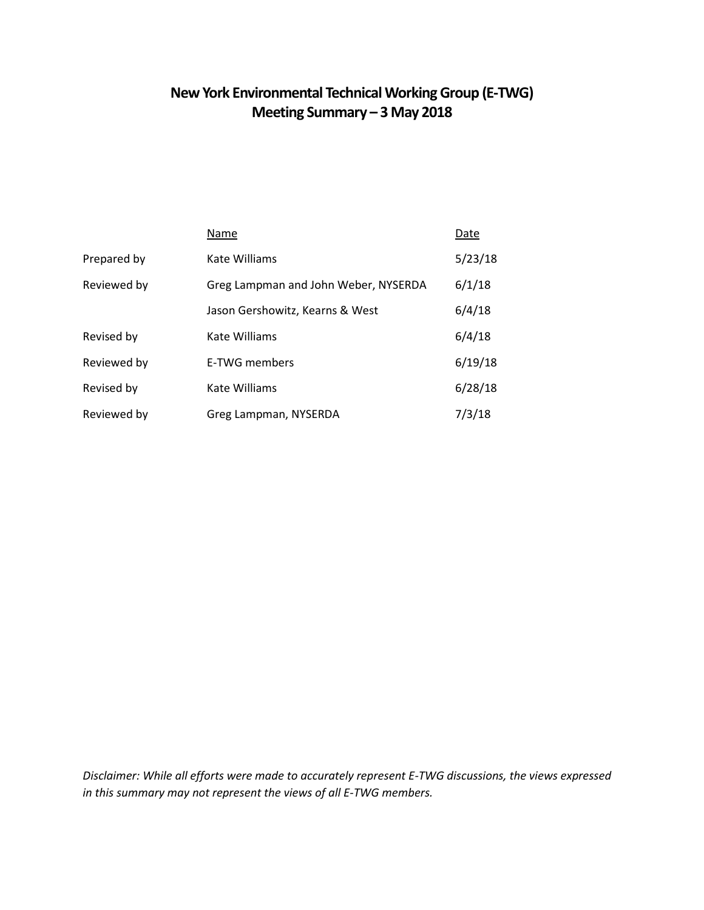## **New York Environmental Technical Working Group (E-TWG) Meeting Summary – 3 May 2018**

|             | Name                                 | Date    |
|-------------|--------------------------------------|---------|
| Prepared by | Kate Williams                        | 5/23/18 |
| Reviewed by | Greg Lampman and John Weber, NYSERDA | 6/1/18  |
|             | Jason Gershowitz, Kearns & West      | 6/4/18  |
| Revised by  | Kate Williams                        | 6/4/18  |
| Reviewed by | E-TWG members                        | 6/19/18 |
| Revised by  | Kate Williams                        | 6/28/18 |
| Reviewed by | Greg Lampman, NYSERDA                | 7/3/18  |

*Disclaimer: While all efforts were made to accurately represent E-TWG discussions, the views expressed in this summary may not represent the views of all E-TWG members.*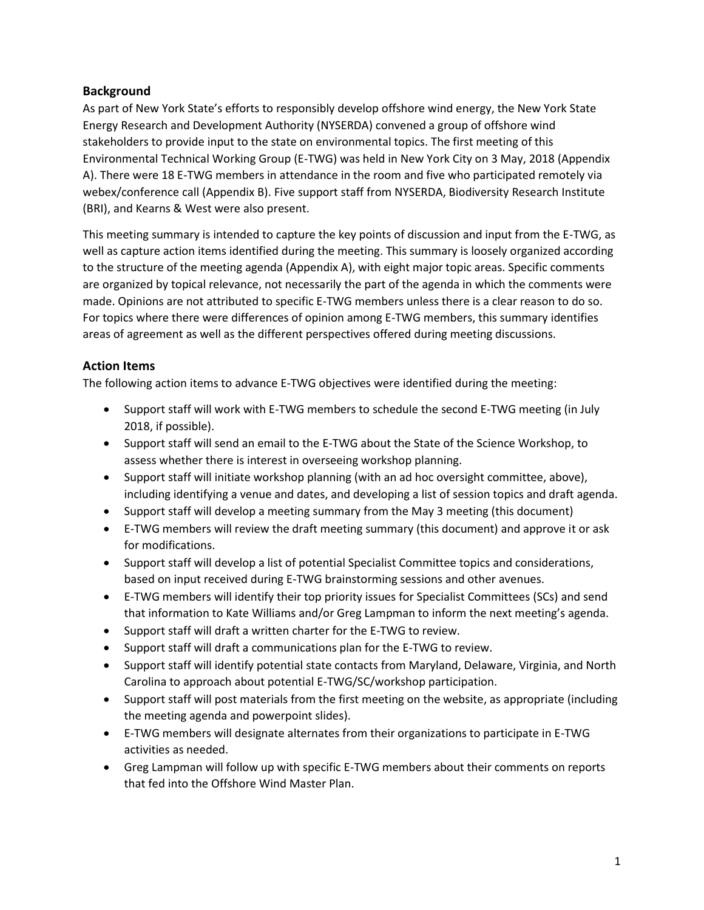## **Background**

As part of New York State's efforts to responsibly develop offshore wind energy, the New York State Energy Research and Development Authority (NYSERDA) convened a group of offshore wind stakeholders to provide input to the state on environmental topics. The first meeting of this Environmental Technical Working Group (E-TWG) was held in New York City on 3 May, 2018 (Appendix A). There were 18 E-TWG members in attendance in the room and five who participated remotely via webex/conference call (Appendix B). Five support staff from NYSERDA, Biodiversity Research Institute (BRI), and Kearns & West were also present.

This meeting summary is intended to capture the key points of discussion and input from the E-TWG, as well as capture action items identified during the meeting. This summary is loosely organized according to the structure of the meeting agenda (Appendix A), with eight major topic areas. Specific comments are organized by topical relevance, not necessarily the part of the agenda in which the comments were made. Opinions are not attributed to specific E-TWG members unless there is a clear reason to do so. For topics where there were differences of opinion among E-TWG members, this summary identifies areas of agreement as well as the different perspectives offered during meeting discussions.

## **Action Items**

The following action items to advance E-TWG objectives were identified during the meeting:

- Support staff will work with E-TWG members to schedule the second E-TWG meeting (in July 2018, if possible).
- Support staff will send an email to the E-TWG about the State of the Science Workshop, to assess whether there is interest in overseeing workshop planning.
- Support staff will initiate workshop planning (with an ad hoc oversight committee, above), including identifying a venue and dates, and developing a list of session topics and draft agenda.
- Support staff will develop a meeting summary from the May 3 meeting (this document)
- E-TWG members will review the draft meeting summary (this document) and approve it or ask for modifications.
- Support staff will develop a list of potential Specialist Committee topics and considerations, based on input received during E-TWG brainstorming sessions and other avenues.
- E-TWG members will identify their top priority issues for Specialist Committees (SCs) and send that information to Kate Williams and/or Greg Lampman to inform the next meeting's agenda.
- Support staff will draft a written charter for the E-TWG to review.
- Support staff will draft a communications plan for the E-TWG to review.
- Support staff will identify potential state contacts from Maryland, Delaware, Virginia, and North Carolina to approach about potential E-TWG/SC/workshop participation.
- Support staff will post materials from the first meeting on the website, as appropriate (including the meeting agenda and powerpoint slides).
- E-TWG members will designate alternates from their organizations to participate in E-TWG activities as needed.
- Greg Lampman will follow up with specific E-TWG members about their comments on reports that fed into the Offshore Wind Master Plan.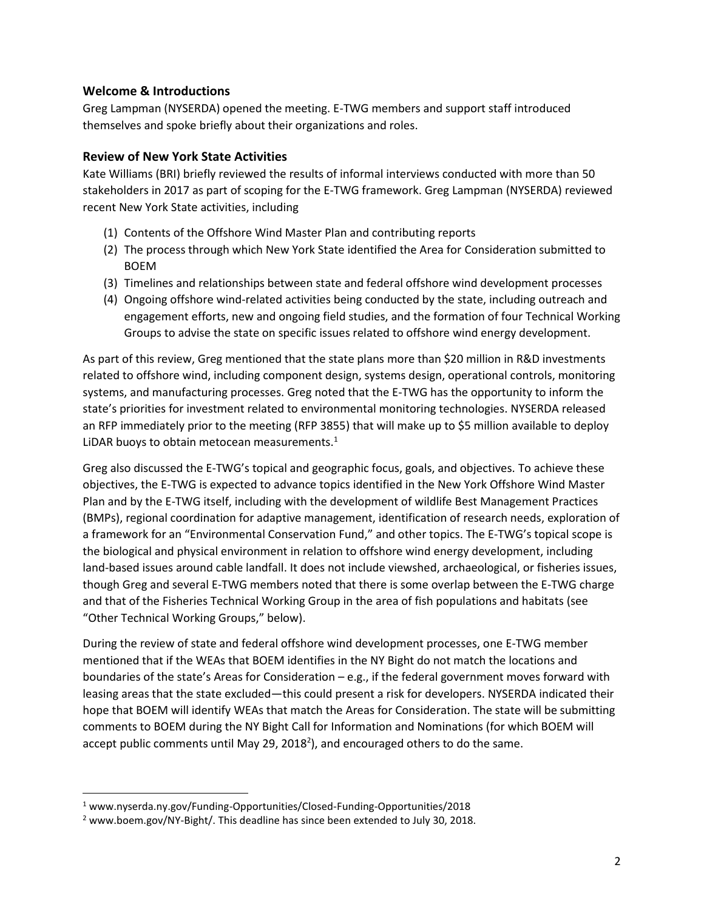## **Welcome & Introductions**

Greg Lampman (NYSERDA) opened the meeting. E-TWG members and support staff introduced themselves and spoke briefly about their organizations and roles.

#### **Review of New York State Activities**

Kate Williams (BRI) briefly reviewed the results of informal interviews conducted with more than 50 stakeholders in 2017 as part of scoping for the E-TWG framework. Greg Lampman (NYSERDA) reviewed recent New York State activities, including

- (1) Contents of the Offshore Wind Master Plan and contributing reports
- (2) The process through which New York State identified the Area for Consideration submitted to BOEM
- (3) Timelines and relationships between state and federal offshore wind development processes
- (4) Ongoing offshore wind-related activities being conducted by the state, including outreach and engagement efforts, new and ongoing field studies, and the formation of four Technical Working Groups to advise the state on specific issues related to offshore wind energy development.

As part of this review, Greg mentioned that the state plans more than \$20 million in R&D investments related to offshore wind, including component design, systems design, operational controls, monitoring systems, and manufacturing processes. Greg noted that the E-TWG has the opportunity to inform the state's priorities for investment related to environmental monitoring technologies. NYSERDA released an RFP immediately prior to the meeting (RFP 3855) that will make up to \$5 million available to deploy LIDAR buoys to obtain metocean measurements. $1$ 

Greg also discussed the E-TWG's topical and geographic focus, goals, and objectives. To achieve these objectives, the E-TWG is expected to advance topics identified in the New York Offshore Wind Master Plan and by the E-TWG itself, including with the development of wildlife Best Management Practices (BMPs), regional coordination for adaptive management, identification of research needs, exploration of a framework for an "Environmental Conservation Fund," and other topics. The E-TWG's topical scope is the biological and physical environment in relation to offshore wind energy development, including land-based issues around cable landfall. It does not include viewshed, archaeological, or fisheries issues, though Greg and several E-TWG members noted that there is some overlap between the E-TWG charge and that of the Fisheries Technical Working Group in the area of fish populations and habitats (see "Other Technical Working Groups," below).

During the review of state and federal offshore wind development processes, one E-TWG member mentioned that if the WEAs that BOEM identifies in the NY Bight do not match the locations and boundaries of the state's Areas for Consideration  $-e.g.,$  if the federal government moves forward with leasing areas that the state excluded—this could present a risk for developers. NYSERDA indicated their hope that BOEM will identify WEAs that match the Areas for Consideration. The state will be submitting comments to BOEM during the NY Bight Call for Information and Nominations (for which BOEM will accept public comments until May 29, 2018<sup>2</sup>), and encouraged others to do the same.

l

<sup>1</sup> www.nyserda.ny.gov/Funding-Opportunities/Closed-Funding-Opportunities/2018

<sup>&</sup>lt;sup>2</sup> www.boem.gov/NY-Bight/. This deadline has since been extended to July 30, 2018.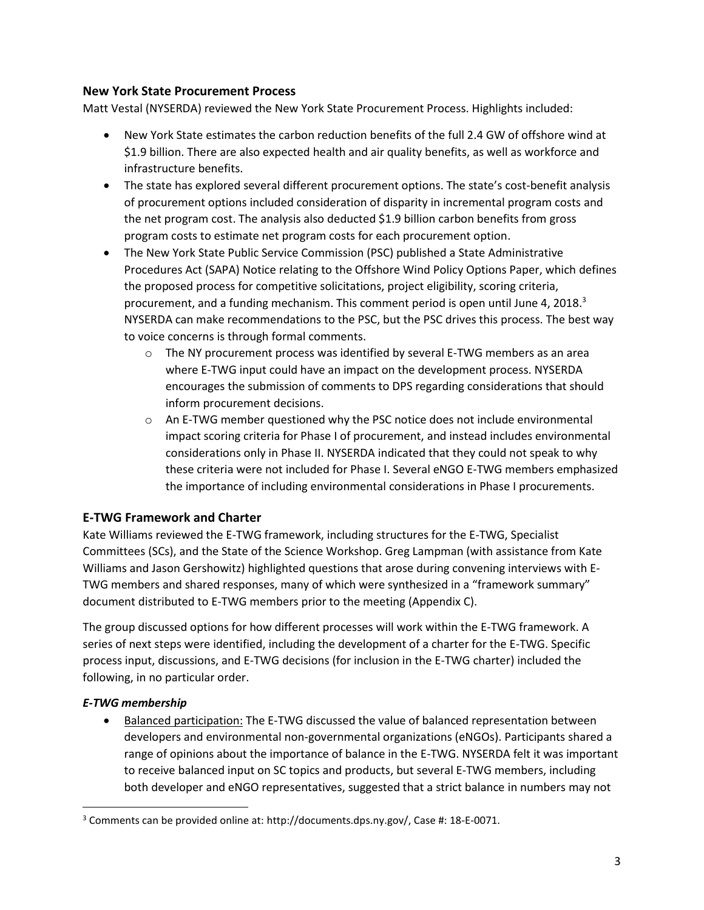#### **New York State Procurement Process**

Matt Vestal (NYSERDA) reviewed the New York State Procurement Process. Highlights included:

- New York State estimates the carbon reduction benefits of the full 2.4 GW of offshore wind at \$1.9 billion. There are also expected health and air quality benefits, as well as workforce and infrastructure benefits.
- The state has explored several different procurement options. The state's cost-benefit analysis of procurement options included consideration of disparity in incremental program costs and the net program cost. The analysis also deducted \$1.9 billion carbon benefits from gross program costs to estimate net program costs for each procurement option.
- The New York State Public Service Commission (PSC) published a State Administrative Procedures Act (SAPA) Notice relating to the Offshore Wind Policy Options Paper, which defines the proposed process for competitive solicitations, project eligibility, scoring criteria, procurement, and a funding mechanism. This comment period is open until June 4, 2018. $3$ NYSERDA can make recommendations to the PSC, but the PSC drives this process. The best way to voice concerns is through formal comments.
	- $\circ$  The NY procurement process was identified by several E-TWG members as an area where E-TWG input could have an impact on the development process. NYSERDA encourages the submission of comments to DPS regarding considerations that should inform procurement decisions.
	- o An E-TWG member questioned why the PSC notice does not include environmental impact scoring criteria for Phase I of procurement, and instead includes environmental considerations only in Phase II. NYSERDA indicated that they could not speak to why these criteria were not included for Phase I. Several eNGO E-TWG members emphasized the importance of including environmental considerations in Phase I procurements.

#### **E-TWG Framework and Charter**

Kate Williams reviewed the E-TWG framework, including structures for the E-TWG, Specialist Committees (SCs), and the State of the Science Workshop. Greg Lampman (with assistance from Kate Williams and Jason Gershowitz) highlighted questions that arose during convening interviews with E-TWG members and shared responses, many of which were synthesized in a "framework summary" document distributed to E-TWG members prior to the meeting (Appendix C).

The group discussed options for how different processes will work within the E-TWG framework. A series of next steps were identified, including the development of a charter for the E-TWG. Specific process input, discussions, and E-TWG decisions (for inclusion in the E-TWG charter) included the following, in no particular order.

#### *E-TWG membership*

 $\overline{\phantom{a}}$ 

 Balanced participation: The E-TWG discussed the value of balanced representation between developers and environmental non-governmental organizations (eNGOs). Participants shared a range of opinions about the importance of balance in the E-TWG. NYSERDA felt it was important to receive balanced input on SC topics and products, but several E-TWG members, including both developer and eNGO representatives, suggested that a strict balance in numbers may not

<sup>3</sup> Comments can be provided online at: http://documents.dps.ny.gov/, Case #: 18-E-0071.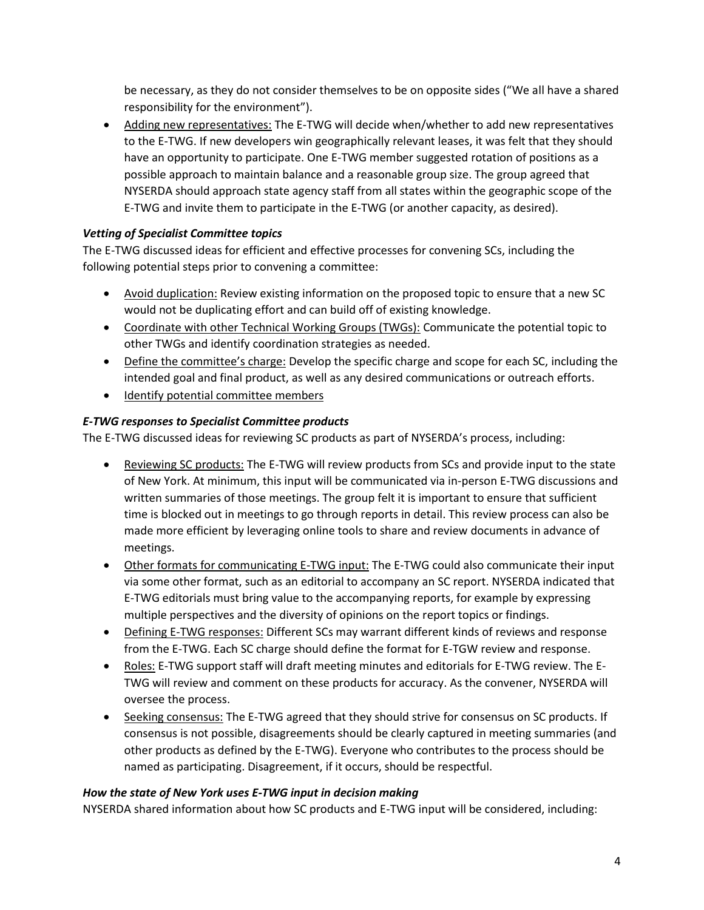be necessary, as they do not consider themselves to be on opposite sides ("We all have a shared responsibility for the environment").

 Adding new representatives: The E-TWG will decide when/whether to add new representatives to the E-TWG. If new developers win geographically relevant leases, it was felt that they should have an opportunity to participate. One E-TWG member suggested rotation of positions as a possible approach to maintain balance and a reasonable group size. The group agreed that NYSERDA should approach state agency staff from all states within the geographic scope of the E-TWG and invite them to participate in the E-TWG (or another capacity, as desired).

## *Vetting of Specialist Committee topics*

The E-TWG discussed ideas for efficient and effective processes for convening SCs, including the following potential steps prior to convening a committee:

- Avoid duplication: Review existing information on the proposed topic to ensure that a new SC would not be duplicating effort and can build off of existing knowledge.
- Coordinate with other Technical Working Groups (TWGs): Communicate the potential topic to other TWGs and identify coordination strategies as needed.
- Define the committee's charge: Develop the specific charge and scope for each SC, including the intended goal and final product, as well as any desired communications or outreach efforts.
- Identify potential committee members

#### *E-TWG responses to Specialist Committee products*

The E-TWG discussed ideas for reviewing SC products as part of NYSERDA's process, including:

- Reviewing SC products: The E-TWG will review products from SCs and provide input to the state of New York. At minimum, this input will be communicated via in-person E-TWG discussions and written summaries of those meetings. The group felt it is important to ensure that sufficient time is blocked out in meetings to go through reports in detail. This review process can also be made more efficient by leveraging online tools to share and review documents in advance of meetings.
- Other formats for communicating E-TWG input: The E-TWG could also communicate their input via some other format, such as an editorial to accompany an SC report. NYSERDA indicated that E-TWG editorials must bring value to the accompanying reports, for example by expressing multiple perspectives and the diversity of opinions on the report topics or findings.
- Defining E-TWG responses: Different SCs may warrant different kinds of reviews and response from the E-TWG. Each SC charge should define the format for E-TGW review and response.
- Roles: E-TWG support staff will draft meeting minutes and editorials for E-TWG review. The E-TWG will review and comment on these products for accuracy. As the convener, NYSERDA will oversee the process.
- Seeking consensus: The E-TWG agreed that they should strive for consensus on SC products. If consensus is not possible, disagreements should be clearly captured in meeting summaries (and other products as defined by the E-TWG). Everyone who contributes to the process should be named as participating. Disagreement, if it occurs, should be respectful.

#### *How the state of New York uses E-TWG input in decision making*

NYSERDA shared information about how SC products and E-TWG input will be considered, including: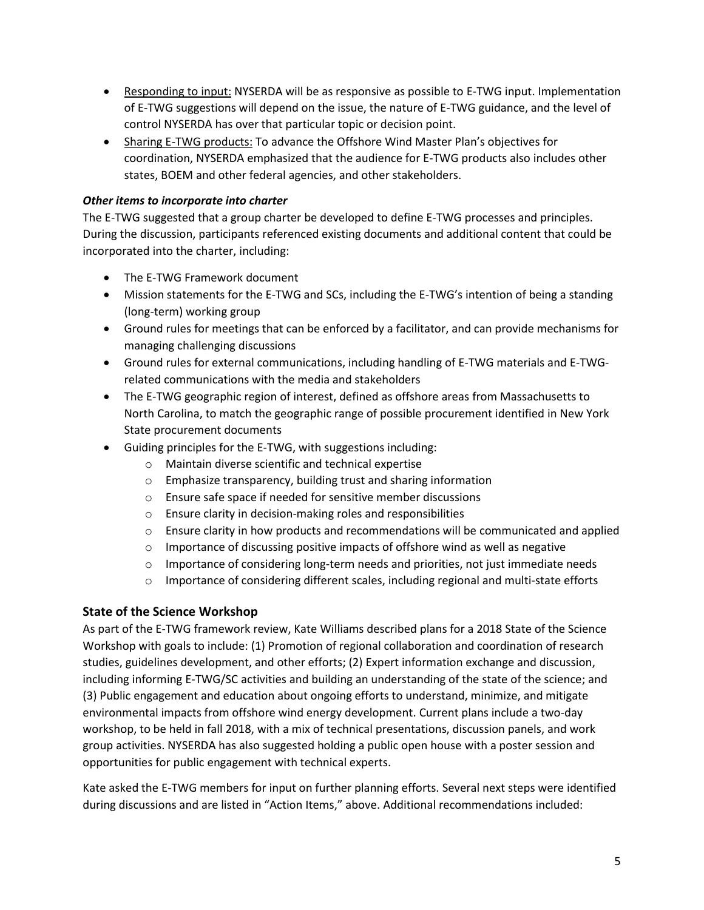- Responding to input: NYSERDA will be as responsive as possible to E-TWG input. Implementation of E-TWG suggestions will depend on the issue, the nature of E-TWG guidance, and the level of control NYSERDA has over that particular topic or decision point.
- Sharing E-TWG products: To advance the Offshore Wind Master Plan's objectives for coordination, NYSERDA emphasized that the audience for E-TWG products also includes other states, BOEM and other federal agencies, and other stakeholders.

## *Other items to incorporate into charter*

The E-TWG suggested that a group charter be developed to define E-TWG processes and principles. During the discussion, participants referenced existing documents and additional content that could be incorporated into the charter, including:

- The E-TWG Framework document
- Mission statements for the E-TWG and SCs, including the E-TWG's intention of being a standing (long-term) working group
- Ground rules for meetings that can be enforced by a facilitator, and can provide mechanisms for managing challenging discussions
- Ground rules for external communications, including handling of E-TWG materials and E-TWGrelated communications with the media and stakeholders
- The E-TWG geographic region of interest, defined as offshore areas from Massachusetts to North Carolina, to match the geographic range of possible procurement identified in New York State procurement documents
- Guiding principles for the E-TWG, with suggestions including:
	- o Maintain diverse scientific and technical expertise
	- o Emphasize transparency, building trust and sharing information
	- o Ensure safe space if needed for sensitive member discussions
	- o Ensure clarity in decision-making roles and responsibilities
	- $\circ$  Ensure clarity in how products and recommendations will be communicated and applied
	- $\circ$  Importance of discussing positive impacts of offshore wind as well as negative
	- $\circ$  Importance of considering long-term needs and priorities, not just immediate needs
	- $\circ$  Importance of considering different scales, including regional and multi-state efforts

## **State of the Science Workshop**

As part of the E-TWG framework review, Kate Williams described plans for a 2018 State of the Science Workshop with goals to include: (1) Promotion of regional collaboration and coordination of research studies, guidelines development, and other efforts; (2) Expert information exchange and discussion, including informing E-TWG/SC activities and building an understanding of the state of the science; and (3) Public engagement and education about ongoing efforts to understand, minimize, and mitigate environmental impacts from offshore wind energy development. Current plans include a two-day workshop, to be held in fall 2018, with a mix of technical presentations, discussion panels, and work group activities. NYSERDA has also suggested holding a public open house with a poster session and opportunities for public engagement with technical experts.

Kate asked the E-TWG members for input on further planning efforts. Several next steps were identified during discussions and are listed in "Action Items," above. Additional recommendations included: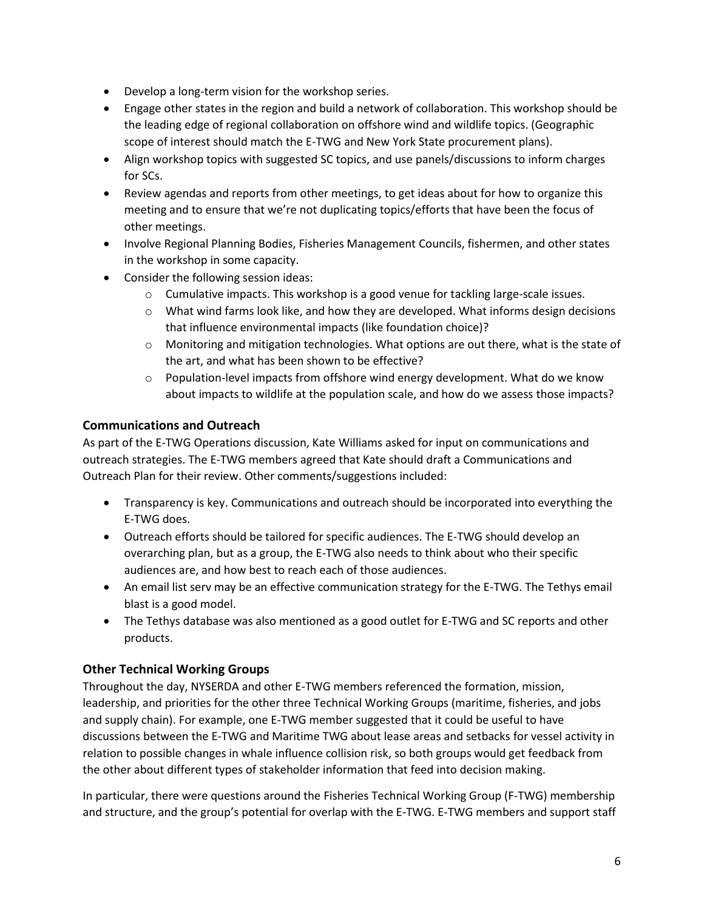- Develop a long-term vision for the workshop series.
- Engage other states in the region and build a network of collaboration. This workshop should be the leading edge of regional collaboration on offshore wind and wildlife topics. (Geographic scope of interest should match the E-TWG and New York State procurement plans).
- Align workshop topics with suggested SC topics, and use panels/discussions to inform charges for SCs.
- Review agendas and reports from other meetings, to get ideas about for how to organize this meeting and to ensure that we're not duplicating topics/efforts that have been the focus of other meetings.
- Involve Regional Planning Bodies, Fisheries Management Councils, fishermen, and other states in the workshop in some capacity.
- Consider the following session ideas:
	- $\circ$  Cumulative impacts. This workshop is a good venue for tackling large-scale issues.
	- $\circ$  What wind farms look like, and how they are developed. What informs design decisions that influence environmental impacts (like foundation choice)?
	- $\circ$  Monitoring and mitigation technologies. What options are out there, what is the state of the art, and what has been shown to be effective?
	- $\circ$  Population-level impacts from offshore wind energy development. What do we know about impacts to wildlife at the population scale, and how do we assess those impacts?

## **Communications and Outreach**

As part of the E-TWG Operations discussion, Kate Williams asked for input on communications and outreach strategies. The E-TWG members agreed that Kate should draft a Communications and Outreach Plan for their review. Other comments/suggestions included:

- Transparency is key. Communications and outreach should be incorporated into everything the E-TWG does.
- Outreach efforts should be tailored for specific audiences. The E-TWG should develop an overarching plan, but as a group, the E-TWG also needs to think about who their specific audiences are, and how best to reach each of those audiences.
- An email list serv may be an effective communication strategy for the E-TWG. The Tethys email blast is a good model.
- The Tethys database was also mentioned as a good outlet for E-TWG and SC reports and other products.

## **Other Technical Working Groups**

Throughout the day, NYSERDA and other E-TWG members referenced the formation, mission, leadership, and priorities for the other three Technical Working Groups (maritime, fisheries, and jobs and supply chain). For example, one E-TWG member suggested that it could be useful to have discussions between the E-TWG and Maritime TWG about lease areas and setbacks for vessel activity in relation to possible changes in whale influence collision risk, so both groups would get feedback from the other about different types of stakeholder information that feed into decision making.

In particular, there were questions around the Fisheries Technical Working Group (F-TWG) membership and structure, and the group's potential for overlap with the E-TWG. E-TWG members and support staff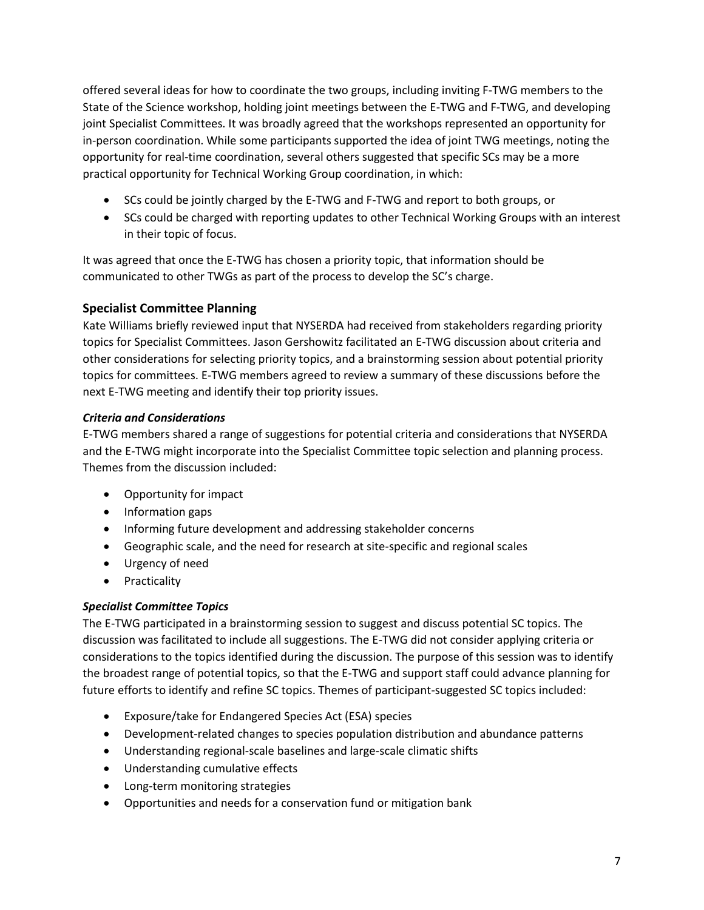offered several ideas for how to coordinate the two groups, including inviting F-TWG members to the State of the Science workshop, holding joint meetings between the E-TWG and F-TWG, and developing joint Specialist Committees. It was broadly agreed that the workshops represented an opportunity for in-person coordination. While some participants supported the idea of joint TWG meetings, noting the opportunity for real-time coordination, several others suggested that specific SCs may be a more practical opportunity for Technical Working Group coordination, in which:

- SCs could be jointly charged by the E-TWG and F-TWG and report to both groups, or
- SCs could be charged with reporting updates to other Technical Working Groups with an interest in their topic of focus.

It was agreed that once the E-TWG has chosen a priority topic, that information should be communicated to other TWGs as part of the process to develop the SC's charge.

## **Specialist Committee Planning**

Kate Williams briefly reviewed input that NYSERDA had received from stakeholders regarding priority topics for Specialist Committees. Jason Gershowitz facilitated an E-TWG discussion about criteria and other considerations for selecting priority topics, and a brainstorming session about potential priority topics for committees. E-TWG members agreed to review a summary of these discussions before the next E-TWG meeting and identify their top priority issues.

#### *Criteria and Considerations*

E-TWG members shared a range of suggestions for potential criteria and considerations that NYSERDA and the E-TWG might incorporate into the Specialist Committee topic selection and planning process. Themes from the discussion included:

- Opportunity for impact
- Information gaps
- Informing future development and addressing stakeholder concerns
- Geographic scale, and the need for research at site-specific and regional scales
- Urgency of need
- Practicality

#### *Specialist Committee Topics*

The E-TWG participated in a brainstorming session to suggest and discuss potential SC topics. The discussion was facilitated to include all suggestions. The E-TWG did not consider applying criteria or considerations to the topics identified during the discussion. The purpose of this session was to identify the broadest range of potential topics, so that the E-TWG and support staff could advance planning for future efforts to identify and refine SC topics. Themes of participant-suggested SC topics included:

- Exposure/take for Endangered Species Act (ESA) species
- Development-related changes to species population distribution and abundance patterns
- Understanding regional-scale baselines and large-scale climatic shifts
- Understanding cumulative effects
- Long-term monitoring strategies
- Opportunities and needs for a conservation fund or mitigation bank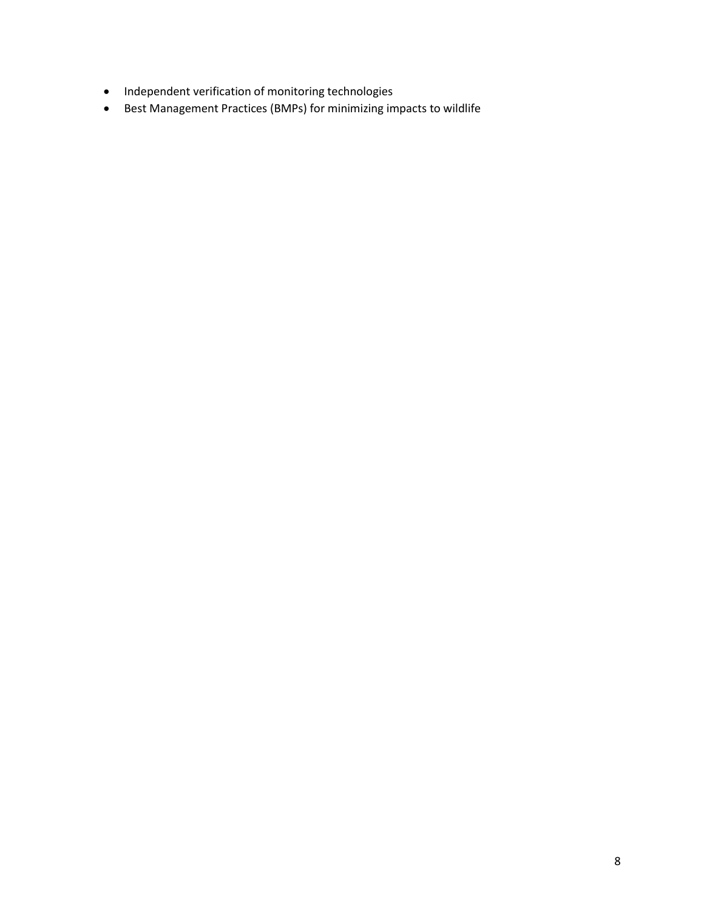- $\bullet$  Independent verification of monitoring technologies
- Best Management Practices (BMPs) for minimizing impacts to wildlife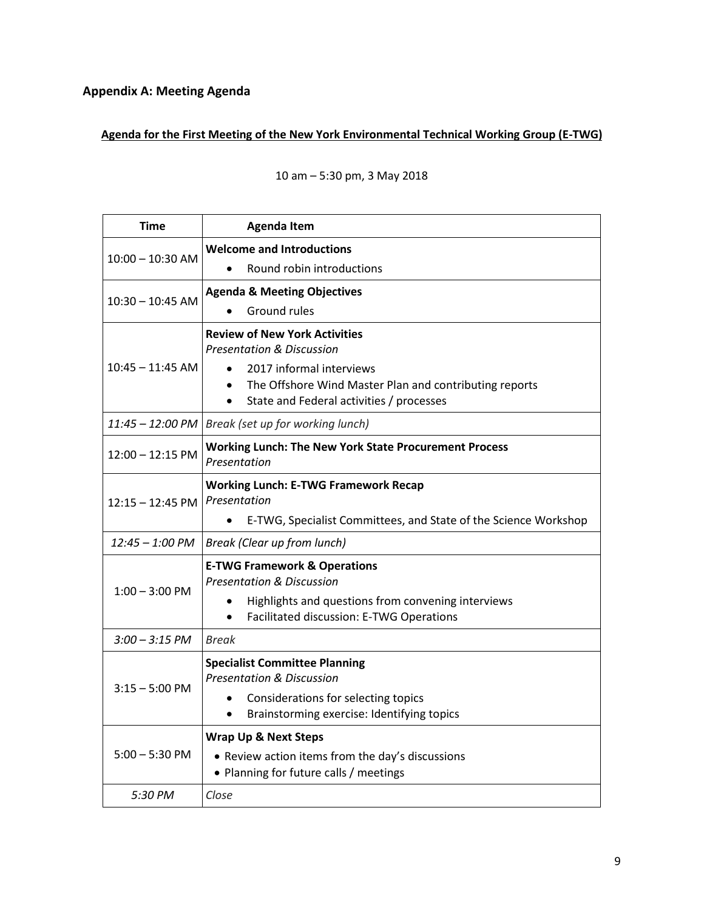# **Appendix A: Meeting Agenda**

## **Agenda for the First Meeting of the New York Environmental Technical Working Group (E-TWG)**

| <b>Time</b>        | <b>Agenda Item</b>                                                           |
|--------------------|------------------------------------------------------------------------------|
| $10:00 - 10:30$ AM | <b>Welcome and Introductions</b>                                             |
|                    | Round robin introductions                                                    |
| $10:30 - 10:45$ AM | <b>Agenda &amp; Meeting Objectives</b>                                       |
|                    | <b>Ground rules</b>                                                          |
| $10:45 - 11:45$ AM | <b>Review of New York Activities</b>                                         |
|                    | <b>Presentation &amp; Discussion</b>                                         |
|                    | 2017 informal interviews<br>$\bullet$                                        |
|                    | The Offshore Wind Master Plan and contributing reports<br>$\bullet$          |
|                    | State and Federal activities / processes<br>$\bullet$                        |
| 11:45 - 12:00 PM   | Break (set up for working lunch)                                             |
| $12:00 - 12:15$ PM | <b>Working Lunch: The New York State Procurement Process</b><br>Presentation |
|                    | <b>Working Lunch: E-TWG Framework Recap</b>                                  |
| $12:15 - 12:45$ PM | Presentation                                                                 |
|                    | E-TWG, Specialist Committees, and State of the Science Workshop              |
| $12:45 - 1:00$ PM  | Break (Clear up from lunch)                                                  |
| $1:00 - 3:00$ PM   | <b>E-TWG Framework &amp; Operations</b>                                      |
|                    | <b>Presentation &amp; Discussion</b>                                         |
|                    | Highlights and questions from convening interviews                           |
|                    | Facilitated discussion: E-TWG Operations                                     |
| $3:00 - 3:15$ PM   | <b>Break</b>                                                                 |
| $3:15 - 5:00$ PM   | <b>Specialist Committee Planning</b>                                         |
|                    | <b>Presentation &amp; Discussion</b>                                         |
|                    | Considerations for selecting topics                                          |
|                    | Brainstorming exercise: Identifying topics<br>$\bullet$                      |
| $5:00 - 5:30$ PM   | <b>Wrap Up &amp; Next Steps</b>                                              |
|                    | • Review action items from the day's discussions                             |
|                    | • Planning for future calls / meetings                                       |
| 5:30 PM            | Close                                                                        |

## 10 am – 5:30 pm, 3 May 2018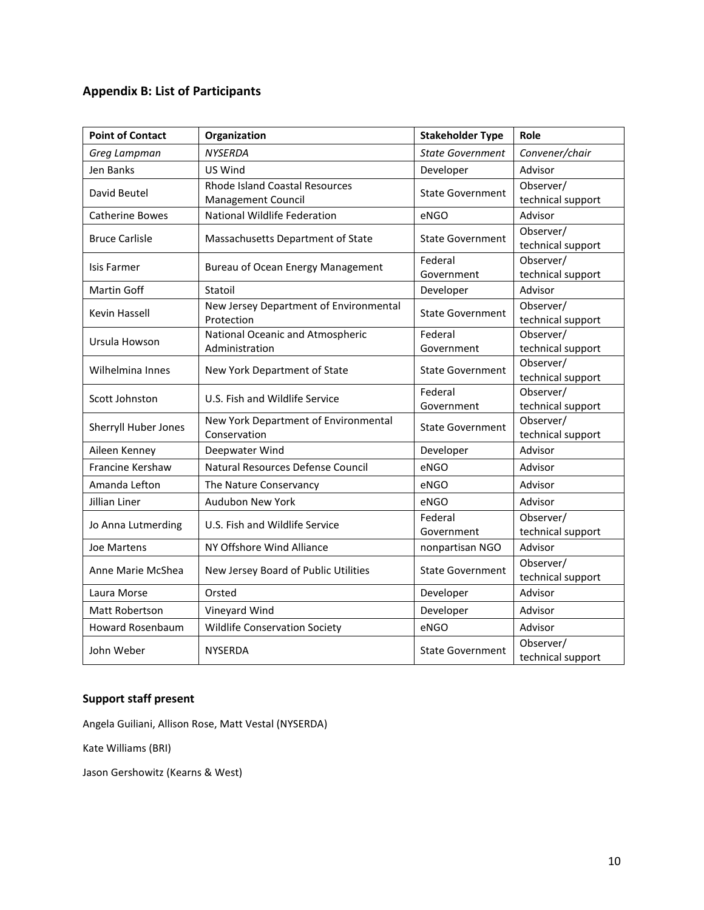# **Appendix B: List of Participants**

| <b>Point of Contact</b> | Organization                                         | <b>Stakeholder Type</b>               | Role                           |
|-------------------------|------------------------------------------------------|---------------------------------------|--------------------------------|
| Greg Lampman            | <b>NYSERDA</b>                                       | <b>State Government</b>               | Convener/chair                 |
| Jen Banks               | US Wind                                              | Developer                             | Advisor                        |
| David Beutel            | <b>Rhode Island Coastal Resources</b>                | <b>State Government</b>               | Observer/                      |
|                         | Management Council                                   |                                       | technical support              |
| <b>Catherine Bowes</b>  | National Wildlife Federation                         | eNGO                                  | Advisor                        |
| <b>Bruce Carlisle</b>   | Massachusetts Department of State                    | <b>State Government</b>               | Observer/                      |
|                         |                                                      |                                       | technical support              |
| Isis Farmer             | <b>Bureau of Ocean Energy Management</b>             | Federal                               | Observer/                      |
|                         |                                                      | Government                            | technical support              |
| Martin Goff             | Statoil                                              | Developer                             | Advisor                        |
| <b>Kevin Hassell</b>    | New Jersey Department of Environmental<br>Protection | <b>State Government</b><br>Federal    | Observer/                      |
|                         |                                                      |                                       | technical support<br>Observer/ |
| Ursula Howson           | National Oceanic and Atmospheric                     |                                       |                                |
| Wilhelmina Innes        | Administration<br>New York Department of State       | Government<br><b>State Government</b> | technical support<br>Observer/ |
|                         |                                                      |                                       | technical support              |
|                         | U.S. Fish and Wildlife Service                       | Federal                               | Observer/                      |
| Scott Johnston          |                                                      | Government                            | technical support              |
| Sherryll Huber Jones    | New York Department of Environmental<br>Conservation | <b>State Government</b>               | Observer/                      |
|                         |                                                      |                                       | technical support              |
| Aileen Kenney           | Deepwater Wind                                       | Developer                             | Advisor                        |
| Francine Kershaw        | Natural Resources Defense Council                    | eNGO                                  | Advisor                        |
| Amanda Lefton           | The Nature Conservancy                               | eNGO                                  | Advisor                        |
| Jillian Liner           | Audubon New York                                     | eNGO                                  | Advisor                        |
| Jo Anna Lutmerding      | U.S. Fish and Wildlife Service                       | Federal                               | Observer/                      |
|                         |                                                      | Government                            | technical support              |
| <b>Joe Martens</b>      | NY Offshore Wind Alliance                            | nonpartisan NGO                       | Advisor                        |
| Anne Marie McShea       | New Jersey Board of Public Utilities                 | <b>State Government</b>               | Observer/                      |
|                         |                                                      |                                       | technical support              |
| Laura Morse             | Orsted                                               | Developer                             | Advisor                        |
| Matt Robertson          | Vineyard Wind                                        | Developer                             | Advisor                        |
| Howard Rosenbaum        | <b>Wildlife Conservation Society</b>                 | eNGO                                  | Advisor                        |
| John Weber              | <b>NYSERDA</b>                                       | <b>State Government</b>               | Observer/<br>technical support |

## **Support staff present**

Angela Guiliani, Allison Rose, Matt Vestal (NYSERDA)

Kate Williams (BRI)

Jason Gershowitz (Kearns & West)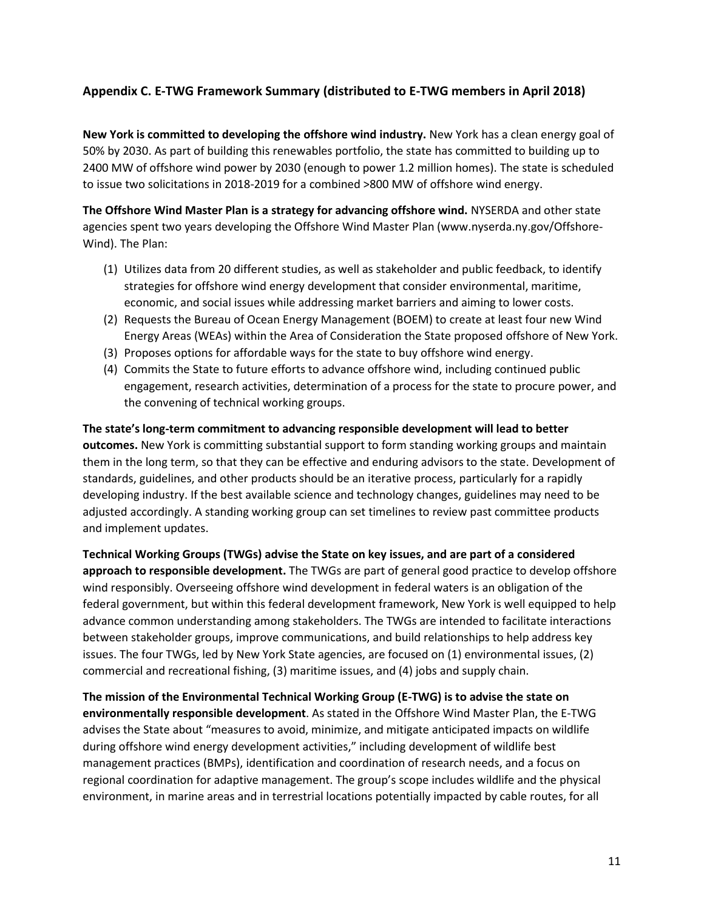## **Appendix C. E-TWG Framework Summary (distributed to E-TWG members in April 2018)**

**New York is committed to developing the offshore wind industry.** New York has a clean energy goal of 50% by 2030. As part of building this renewables portfolio, the state has committed to building up to 2400 MW of offshore wind power by 2030 (enough to power 1.2 million homes). The state is scheduled to issue two solicitations in 2018-2019 for a combined >800 MW of offshore wind energy.

**The Offshore Wind Master Plan is a strategy for advancing offshore wind.** NYSERDA and other state agencies spent two years developing the Offshore Wind Master Plan (www.nyserda.ny.gov/Offshore-Wind). The Plan:

- (1) Utilizes data from 20 different studies, as well as stakeholder and public feedback, to identify strategies for offshore wind energy development that consider environmental, maritime, economic, and social issues while addressing market barriers and aiming to lower costs.
- (2) Requests the Bureau of Ocean Energy Management (BOEM) to create at least four new Wind Energy Areas (WEAs) within the Area of Consideration the State proposed offshore of New York.
- (3) Proposes options for affordable ways for the state to buy offshore wind energy.
- (4) Commits the State to future efforts to advance offshore wind, including continued public engagement, research activities, determination of a process for the state to procure power, and the convening of technical working groups.

**The state's long-term commitment to advancing responsible development will lead to better outcomes.** New York is committing substantial support to form standing working groups and maintain them in the long term, so that they can be effective and enduring advisors to the state. Development of standards, guidelines, and other products should be an iterative process, particularly for a rapidly developing industry. If the best available science and technology changes, guidelines may need to be adjusted accordingly. A standing working group can set timelines to review past committee products and implement updates.

**Technical Working Groups (TWGs) advise the State on key issues, and are part of a considered approach to responsible development.** The TWGs are part of general good practice to develop offshore wind responsibly. Overseeing offshore wind development in federal waters is an obligation of the federal government, but within this federal development framework, New York is well equipped to help advance common understanding among stakeholders. The TWGs are intended to facilitate interactions between stakeholder groups, improve communications, and build relationships to help address key issues. The four TWGs, led by New York State agencies, are focused on (1) environmental issues, (2) commercial and recreational fishing, (3) maritime issues, and (4) jobs and supply chain.

**The mission of the Environmental Technical Working Group (E-TWG) is to advise the state on environmentally responsible development**. As stated in the Offshore Wind Master Plan, the E-TWG advises the State about "measures to avoid, minimize, and mitigate anticipated impacts on wildlife during offshore wind energy development activities," including development of wildlife best management practices (BMPs), identification and coordination of research needs, and a focus on regional coordination for adaptive management. The group's scope includes wildlife and the physical environment, in marine areas and in terrestrial locations potentially impacted by cable routes, for all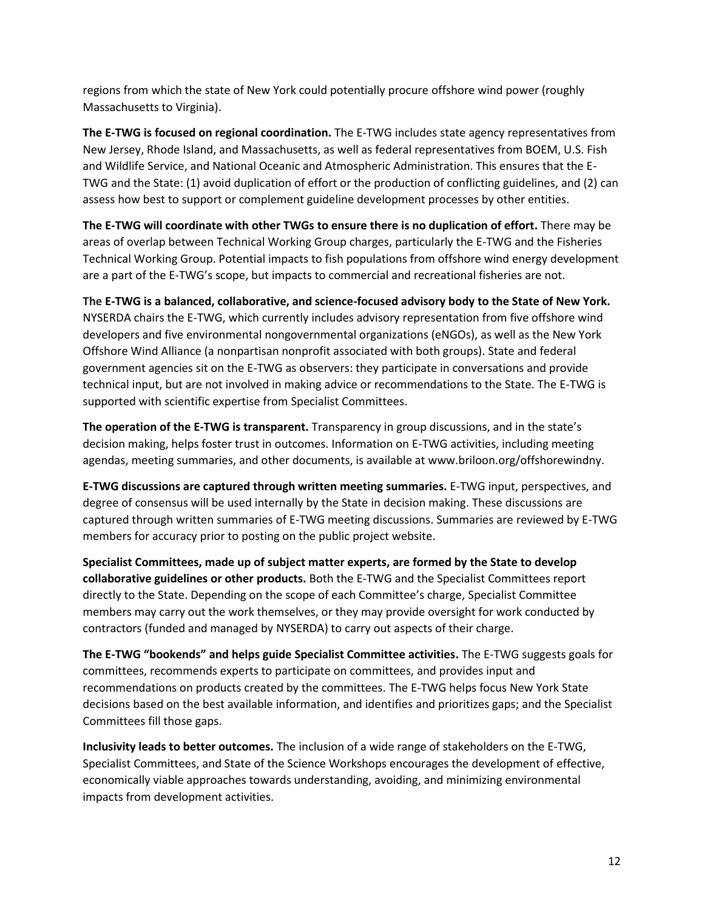regions from which the state of New York could potentially procure offshore wind power (roughly Massachusetts to Virginia).

**The E-TWG is focused on regional coordination.** The E-TWG includes state agency representatives from New Jersey, Rhode Island, and Massachusetts, as well as federal representatives from BOEM, U.S. Fish and Wildlife Service, and National Oceanic and Atmospheric Administration. This ensures that the E-TWG and the State: (1) avoid duplication of effort or the production of conflicting guidelines, and (2) can assess how best to support or complement guideline development processes by other entities.

**The E-TWG will coordinate with other TWGs to ensure there is no duplication of effort.** There may be areas of overlap between Technical Working Group charges, particularly the E-TWG and the Fisheries Technical Working Group. Potential impacts to fish populations from offshore wind energy development are a part of the E-TWG's scope, but impacts to commercial and recreational fisheries are not.

**The E-TWG is a balanced, collaborative, and science-focused advisory body to the State of New York.** NYSERDA chairs the E-TWG, which currently includes advisory representation from five offshore wind developers and five environmental nongovernmental organizations (eNGOs), as well as the New York Offshore Wind Alliance (a nonpartisan nonprofit associated with both groups). State and federal government agencies sit on the E-TWG as observers: they participate in conversations and provide technical input, but are not involved in making advice or recommendations to the State. The E-TWG is supported with scientific expertise from Specialist Committees.

**The operation of the E-TWG is transparent.** Transparency in group discussions, and in the state's decision making, helps foster trust in outcomes. Information on E-TWG activities, including meeting agendas, meeting summaries, and other documents, is available at www.briloon.org/offshorewindny.

**E-TWG discussions are captured through written meeting summaries.** E-TWG input, perspectives, and degree of consensus will be used internally by the State in decision making. These discussions are captured through written summaries of E-TWG meeting discussions. Summaries are reviewed by E-TWG members for accuracy prior to posting on the public project website.

**Specialist Committees, made up of subject matter experts, are formed by the State to develop collaborative guidelines or other products.** Both the E-TWG and the Specialist Committees report directly to the State. Depending on the scope of each Committee's charge, Specialist Committee members may carry out the work themselves, or they may provide oversight for work conducted by contractors (funded and managed by NYSERDA) to carry out aspects of their charge.

**The E-TWG "bookends" and helps guide Specialist Committee activities.** The E-TWG suggests goals for committees, recommends experts to participate on committees, and provides input and recommendations on products created by the committees. The E-TWG helps focus New York State decisions based on the best available information, and identifies and prioritizes gaps; and the Specialist Committees fill those gaps.

**Inclusivity leads to better outcomes.** The inclusion of a wide range of stakeholders on the E-TWG, Specialist Committees, and State of the Science Workshops encourages the development of effective, economically viable approaches towards understanding, avoiding, and minimizing environmental impacts from development activities.